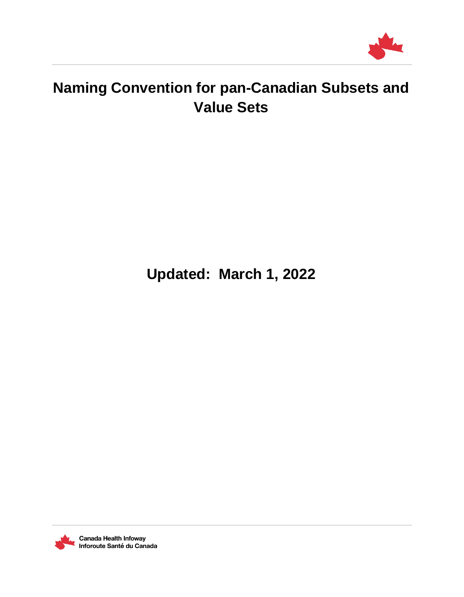

# **Naming Convention for pan-Canadian Subsets and Value Sets**

**Updated: March 1, 2022**



Canada Health Infoway Inforoute Santé du Canada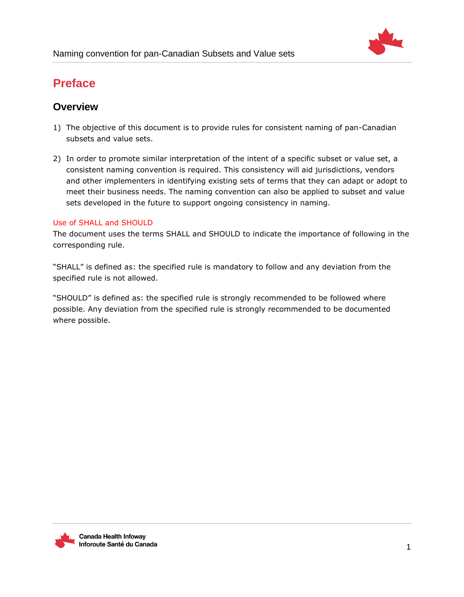

## **Preface**

## **Overview**

- 1) The objective of this document is to provide rules for consistent naming of pan-Canadian subsets and value sets.
- 2) In order to promote similar interpretation of the intent of a specific subset or value set, a consistent naming convention is required. This consistency will aid jurisdictions, vendors and other implementers in identifying existing sets of terms that they can adapt or adopt to meet their business needs. The naming convention can also be applied to subset and value sets developed in the future to support ongoing consistency in naming.

## Use of SHALL and SHOULD

The document uses the terms SHALL and SHOULD to indicate the importance of following in the corresponding rule.

"SHALL" is defined as: the specified rule is mandatory to follow and any deviation from the specified rule is not allowed.

"SHOULD" is defined as: the specified rule is strongly recommended to be followed where possible. Any deviation from the specified rule is strongly recommended to be documented where possible.

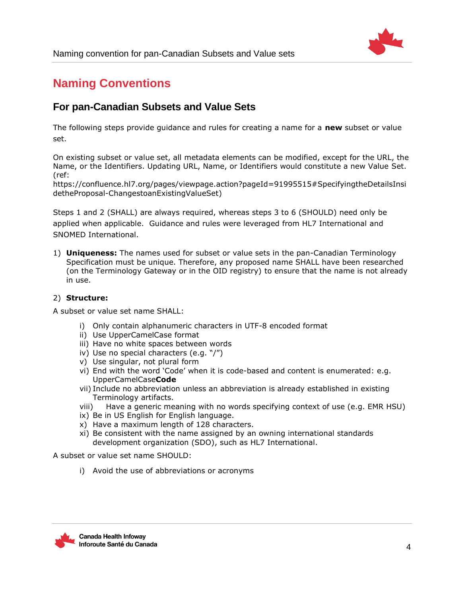

## **Naming Conventions**

## **For pan-Canadian Subsets and Value Sets**

The following steps provide guidance and rules for creating a name for a **new** subset or value set.

On existing subset or value set, all metadata elements can be modified, except for the URL, the Name, or the Identifiers. Updating URL, Name, or Identifiers would constitute a new Value Set. (ref:

https://confluence.hl7.org/pages/viewpage.action?pageId=91995515#SpecifyingtheDetailsInsi detheProposal-ChangestoanExistingValueSet)

Steps 1 and 2 (SHALL) are always required, whereas steps 3 to 6 (SHOULD) need only be applied when applicable. Guidance and rules were leveraged from HL7 International and SNOMED International.

1) **Uniqueness:** The names used for subset or value sets in the pan-Canadian Terminology Specification must be unique. Therefore, any proposed name SHALL have been researched (on the Terminology Gateway or in the OID registry) to ensure that the name is not already in use.

## 2) **Structure:**

A subset or value set name SHALL:

- i) Only contain alphanumeric characters in UTF-8 encoded format
- ii) Use UpperCamelCase format
- iii) Have no white spaces between words
- iv) Use no special characters (e.g. "/")
- v) Use singular, not plural form
- vi) End with the word 'Code' when it is code-based and content is enumerated: e.g. UpperCamelCase**Code**
- vii) Include no abbreviation unless an abbreviation is already established in existing Terminology artifacts.
- viii) Have a generic meaning with no words specifying context of use (e.g. EMR HSU)
- ix) Be in US English for English language.
- x) Have a maximum length of 128 characters.
- xi) Be consistent with the name assigned by an owning international standards development organization (SDO), such as HL7 International.

A subset or value set name SHOULD:

i) Avoid the use of abbreviations or acronyms

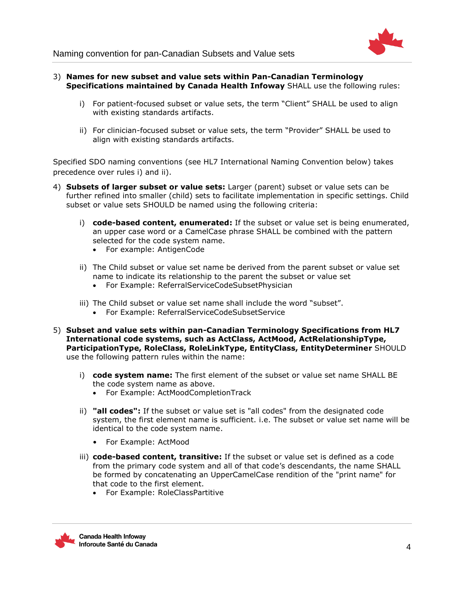

Naming convention for pan-Canadian Subsets and Value sets

- 3) **Names for new subset and value sets within Pan-Canadian Terminology Specifications maintained by Canada Health Infoway** SHALL use the following rules:
	- i) For patient-focused subset or value sets, the term "Client" SHALL be used to align with existing standards artifacts.
	- ii) For clinician-focused subset or value sets, the term "Provider" SHALL be used to align with existing standards artifacts.

Specified SDO naming conventions (see HL7 International Naming Convention below) takes precedence over rules i) and ii).

- 4) **Subsets of larger subset or value sets:** Larger (parent) subset or value sets can be further refined into smaller (child) sets to facilitate implementation in specific settings. Child subset or value sets SHOULD be named using the following criteria:
	- i) **code-based content, enumerated:** If the subset or value set is being enumerated, an upper case word or a CamelCase phrase SHALL be combined with the pattern selected for the code system name.
		- For example: AntigenCode
	- ii) The Child subset or value set name be derived from the parent subset or value set name to indicate its relationship to the parent the subset or value set
		- For Example: ReferralServiceCodeSubsetPhysician
	- iii) The Child subset or value set name shall include the word "subset".
		- For Example: ReferralServiceCodeSubsetService
- 5) **Subset and value sets within pan-Canadian Terminology Specifications from HL7 International code systems, such as ActClass, ActMood, ActRelationshipType, ParticipationType, RoleClass, RoleLinkType, EntityClass, EntityDeterminer** SHOULD use the following pattern rules within the name:
	- i) **code system name:** The first element of the subset or value set name SHALL BE the code system name as above.
		- For Example: ActMoodCompletionTrack
	- ii) **"all codes":** If the subset or value set is "all codes" from the designated code system, the first element name is sufficient. i.e. The subset or value set name will be identical to the code system name.
		- For Example: ActMood
	- iii) **code-based content, transitive:** If the subset or value set is defined as a code from the primary code system and all of that code's descendants, the name SHALL be formed by concatenating an UpperCamelCase rendition of the "print name" for that code to the first element.
		- For Example: RoleClassPartitive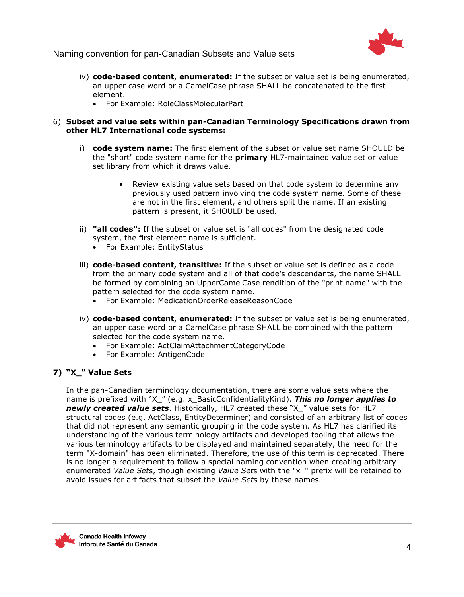

- iv) **code-based content, enumerated:** If the subset or value set is being enumerated, an upper case word or a CamelCase phrase SHALL be concatenated to the first element.
	- For Example: RoleClassMolecularPart

#### 6) **Subset and value sets within pan-Canadian Terminology Specifications drawn from other HL7 International code systems:**

- i) **code system name:** The first element of the subset or value set name SHOULD be the "short" code system name for the **primary** HL7-maintained value set or value set library from which it draws value.
	- Review existing value sets based on that code system to determine any previously used pattern involving the code system name. Some of these are not in the first element, and others split the name. If an existing pattern is present, it SHOULD be used.
- ii) **"all codes":** If the subset or value set is "all codes" from the designated code system, the first element name is sufficient.
	- For Example: EntityStatus
- iii) **code-based content, transitive:** If the subset or value set is defined as a code from the primary code system and all of that code's descendants, the name SHALL be formed by combining an UpperCamelCase rendition of the "print name" with the pattern selected for the code system name.
	- For Example: MedicationOrderReleaseReasonCode
- iv) **code-based content, enumerated:** If the subset or value set is being enumerated, an upper case word or a CamelCase phrase SHALL be combined with the pattern selected for the code system name.
	- For Example: ActClaimAttachmentCategoryCode
	- For Example: AntigenCode

## **7) "X\_" Value Sets**

In the pan-Canadian terminology documentation, there are some value sets where the name is prefixed with "X\_" (e.g. x\_BasicConfidentialityKind). *This no longer applies to newly created value sets*. Historically, HL7 created these "X\_" value sets for HL7 structural codes (e.g. ActClass, EntityDeterminer) and consisted of an arbitrary list of codes that did not represent any semantic grouping in the code system. As HL7 has clarified its understanding of the various terminology artifacts and developed tooling that allows the various terminology artifacts to be displayed and maintained separately, the need for the term "X-domain" has been eliminated. Therefore, the use of this term is deprecated. There is no longer a requirement to follow a special naming convention when creating arbitrary enumerated *Value Set*s, though existing *Value Set*s with the "x\_" prefix will be retained to avoid issues for artifacts that subset the *Value Set*s by these names.